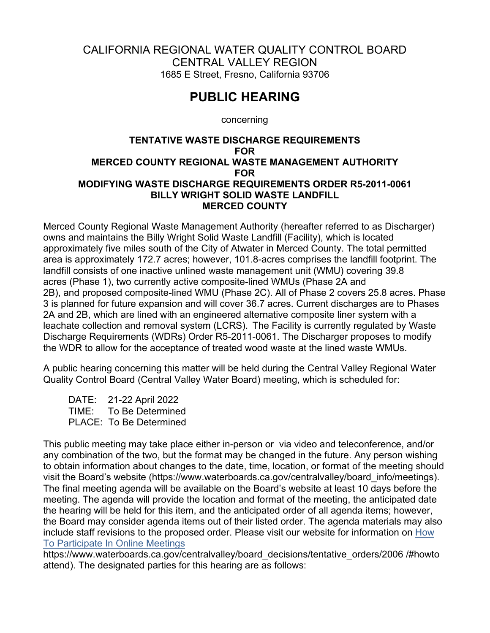## CALIFORNIA REGIONAL WATER QUALITY CONTROL BOARD CENTRAL VALLEY REGION 1685 E Street, Fresno, California 93706

## **PUBLIC HEARING**

concerning

## **TENTATIVE WASTE DISCHARGE REQUIREMENTS FOR MERCED COUNTY REGIONAL WASTE MANAGEMENT AUTHORITY FOR MODIFYING WASTE DISCHARGE REQUIREMENTS ORDER R5-2011-0061 BILLY WRIGHT SOLID WASTE LANDFILL MERCED COUNTY**

Merced County Regional Waste Management Authority (hereafter referred to as Discharger) owns and maintains the Billy Wright Solid Waste Landfill (Facility), which is located approximately five miles south of the City of Atwater in Merced County. The total permitted area is approximately 172.7 acres; however, 101.8-acres comprises the landfill footprint. The landfill consists of one inactive unlined waste management unit (WMU) covering 39.8 acres (Phase 1), two currently active composite-lined WMUs (Phase 2A and 2B), and proposed composite-lined WMU (Phase 2C). All of Phase 2 covers 25.8 acres. Phase 3 is planned for future expansion and will cover 36.7 acres. Current discharges are to Phases 2A and 2B, which are lined with an engineered alternative composite liner system with a leachate collection and removal system (LCRS). The Facility is currently regulated by Waste Discharge Requirements (WDRs) Order R5-2011-0061. The Discharger proposes to modify the WDR to allow for the acceptance of treated wood waste at the lined waste WMUs.

A public hearing concerning this matter will be held during the Central Valley Regional Water Quality Control Board (Central Valley Water Board) meeting, which is scheduled for:

DATE: 21-22 April 2022 TIME: To Be Determined PLACE: To Be Determined

This public meeting may take place either in-person or via video and teleconference, and/or any combination of the two, but the format may be changed in the future. Any person wishing to obtain information about changes to the date, time, location, or format of the meeting should visit the Board's website (https://www.waterboards.ca.gov/centralvalley/board\_info/meetings). The final meeting agenda will be available on the Board's website at least 10 days before the meeting. The agenda will provide the location and format of the meeting, the anticipated date the hearing will be held for this item, and the anticipated order of all agenda items; however, the Board may consider agenda items out of their listed order. The agenda materials may also include staff revisions to the proposed order. Please visit our website for information on [How](https://www.waterboards.ca.gov/centralvalley/board_decisions/tentative_orders/2006 /#howto attend)  [To Participate In Online Meetings](https://www.waterboards.ca.gov/centralvalley/board_decisions/tentative_orders/2006 /#howto attend)

https://www.waterboards.ca.gov/centralvalley/board\_decisions/tentative\_orders/2006 /#howto attend). The designated parties for this hearing are as follows: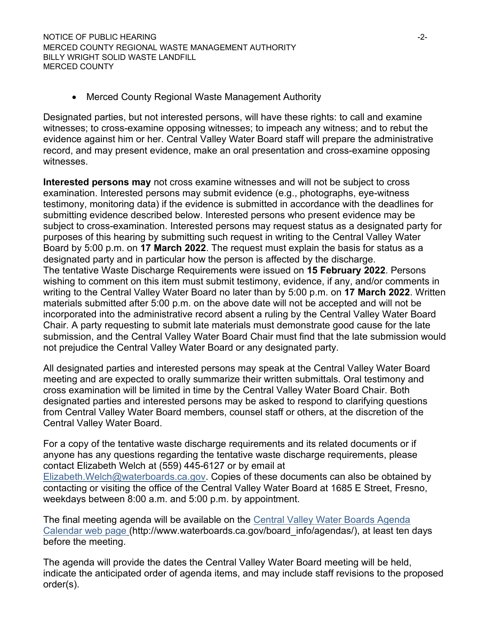• Merced County Regional Waste Management Authority

Designated parties, but not interested persons, will have these rights: to call and examine witnesses; to cross-examine opposing witnesses; to impeach any witness; and to rebut the evidence against him or her. Central Valley Water Board staff will prepare the administrative record, and may present evidence, make an oral presentation and cross-examine opposing witnesses.

**Interested persons may** not cross examine witnesses and will not be subject to cross examination. Interested persons may submit evidence (e.g., photographs, eye-witness testimony, monitoring data) if the evidence is submitted in accordance with the deadlines for submitting evidence described below. Interested persons who present evidence may be subject to cross-examination. Interested persons may request status as a designated party for purposes of this hearing by submitting such request in writing to the Central Valley Water Board by 5:00 p.m. on **17 March 2022**. The request must explain the basis for status as a designated party and in particular how the person is affected by the discharge. The tentative Waste Discharge Requirements were issued on **15 February 2022**. Persons wishing to comment on this item must submit testimony, evidence, if any, and/or comments in writing to the Central Valley Water Board no later than by 5:00 p.m. on **17 March 2022**. Written materials submitted after 5:00 p.m. on the above date will not be accepted and will not be incorporated into the administrative record absent a ruling by the Central Valley Water Board Chair. A party requesting to submit late materials must demonstrate good cause for the late submission, and the Central Valley Water Board Chair must find that the late submission would not prejudice the Central Valley Water Board or any designated party.

All designated parties and interested persons may speak at the Central Valley Water Board meeting and are expected to orally summarize their written submittals. Oral testimony and cross examination will be limited in time by the Central Valley Water Board Chair. Both designated parties and interested persons may be asked to respond to clarifying questions from Central Valley Water Board members, counsel staff or others, at the discretion of the Central Valley Water Board.

For a copy of the tentative waste discharge requirements and its related documents or if anyone has any questions regarding the tentative waste discharge requirements, please contact Elizabeth Welch at (559) 445-6127 or by email at [Elizabeth.Welch@waterboards.ca.gov](mailto:Elizabeth.Welch@waterboards.ca.gov). Copies of these documents can also be obtained by contacting or visiting the office of the Central Valley Water Board at 1685 E Street, Fresno, weekdays between 8:00 a.m. and 5:00 p.m. by appointment.

The final meeting agenda will be available on the [Central Valley Water Boards Agenda](http://www.waterboards.ca.gov/board_info/agendas/)  [Calendar web page](http://www.waterboards.ca.gov/board_info/agendas/) (http://www.waterboards.ca.gov/board\_info/agendas/), at least ten days before the meeting.

The agenda will provide the dates the Central Valley Water Board meeting will be held, indicate the anticipated order of agenda items, and may include staff revisions to the proposed order(s).